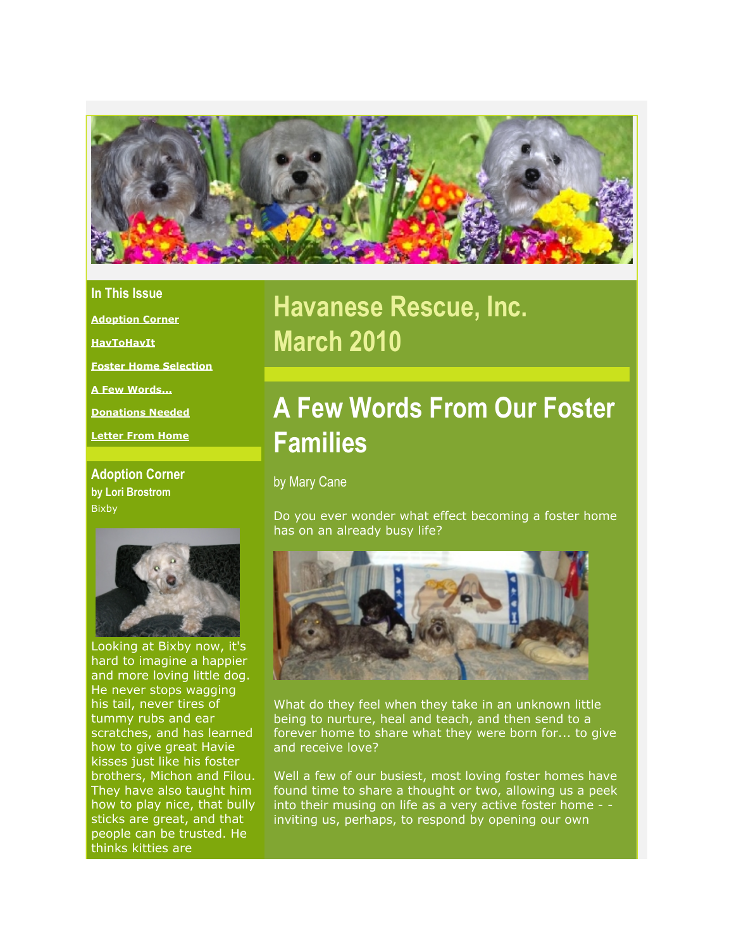

### **In This Issue**

**[Adoption Corner](https://mail.google.com/mail/?ui=2&view=bsp&ver=1qygpcgurkovy#12792e44d3bff118_LETTER.BLOCK4)**

**[HavToHavIt](https://mail.google.com/mail/?ui=2&view=bsp&ver=1qygpcgurkovy#12792e44d3bff118_LETTER.BLOCK16)**

**[Foster Home Selection](https://mail.google.com/mail/?ui=2&view=bsp&ver=1qygpcgurkovy#12792e44d3bff118_LETTER.BLOCK6)**

**[A Few Words...](https://mail.google.com/mail/?ui=2&view=bsp&ver=1qygpcgurkovy#12792e44d3bff118_LETTER.BLOCK11)**

**[Donations Needed](https://mail.google.com/mail/?ui=2&view=bsp&ver=1qygpcgurkovy#12792e44d3bff118_LETTER.BLOCK20)**

**[Letter From Home](https://mail.google.com/mail/?ui=2&view=bsp&ver=1qygpcgurkovy#12792e44d3bff118_LETTER.BLOCK13)**

**Adoption Corner by Lori Brostrom** Bixby



Looking at Bixby now, it's hard to imagine a happier and more loving little dog. He never stops wagging his tail, never tires of tummy rubs and ear scratches, and has learned how to give great Havie kisses just like his foster brothers, Michon and Filou. They have also taught him how to play nice, that bully sticks are great, and that people can be trusted. He thinks kitties are

# **Havanese Rescue, Inc. March 2010**

# **A Few Words From Our Foster Families**

by Mary Cane

Do you ever wonder what effect becoming a foster home has on an already busy life?



What do they feel when they take in an unknown little being to nurture, heal and teach, and then send to a forever home to share what they were born for... to give and receive love?

Well a few of our busiest, most loving foster homes have found time to share a thought or two, allowing us a peek into their musing on life as a very active foster home - inviting us, perhaps, to respond by opening our own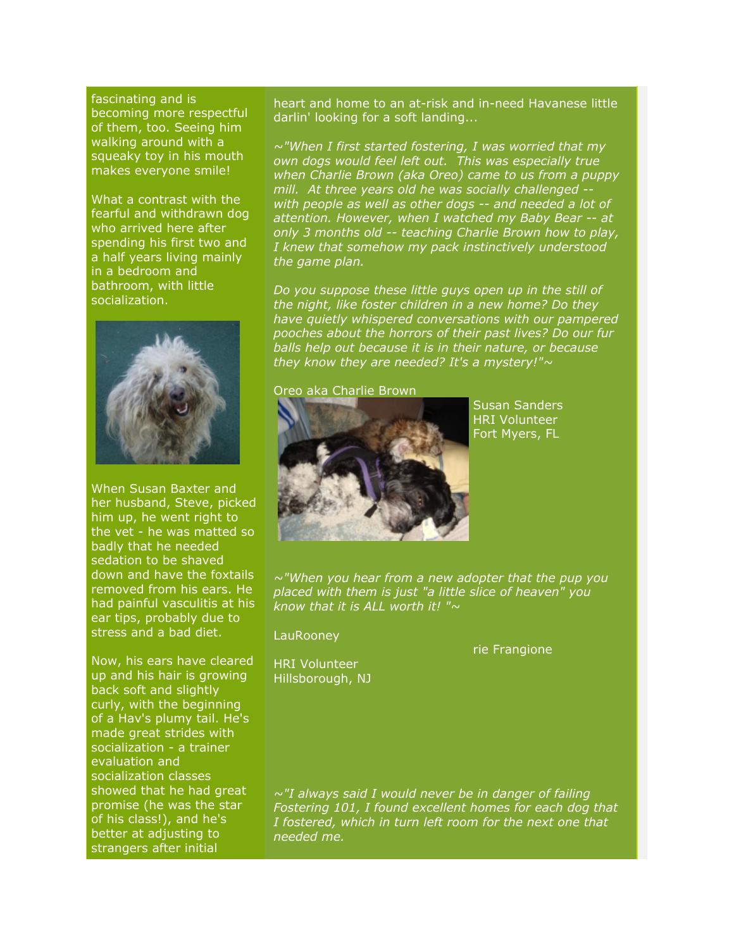fascinating and is becoming more respectful of them, too. Seeing him walking around with a squeaky toy in his mouth makes everyone smile!

What a contrast with the fearful and withdrawn dog who arrived here after spending his first two and a half years living mainly in a bedroom and bathroom, with little socialization.



When Susan Baxter and her husband, Steve, picked him up, he went right to the vet - he was matted so badly that he needed sedation to be shaved down and have the foxtails removed from his ears. He had painful vasculitis at his ear tips, probably due to stress and a bad diet.

Now, his ears have cleared up and his hair is growing back soft and slightly curly, with the beginning of a Hav's plumy tail. He's made great strides with socialization - a trainer evaluation and socialization classes showed that he had great promise (he was the star of his class!), and he's better at adjusting to strangers after initial

heart and home to an at-risk and in-need Havanese little darlin' looking for a soft landing...

*~"When I first started fostering, I was worried that my own dogs would feel left out. This was especially true when Charlie Brown (aka Oreo) came to us from a puppy mill. At three years old he was socially challenged - with people as well as other dogs -- and needed a lot of attention. However, when I watched my Baby Bear -- at only 3 months old -- teaching Charlie Brown how to play, I knew that somehow my pack instinctively understood the game plan.*

*Do you suppose these little guys open up in the still of the night, like foster children in a new home? Do they have quietly whispered conversations with our pampered pooches about the horrors of their past lives? Do our fur balls help out because it is in their nature, or because they know they are needed? It's a mystery!"~*

#### Oreo aka Charlie Brown



Susan Sanders HRI Volunteer Fort Myers, FL

*~"When you hear from a new adopter that the pup you placed with them is just "a little slice of heaven" you know that it is ALL worth it! "~*

#### **LauRoonev**

HRI Volunteer Hillsborough, NJ rie Frangione

*~"I always said I would never be in danger of failing Fostering 101, I found excellent homes for each dog that I fostered, which in turn left room for the next one that needed me.*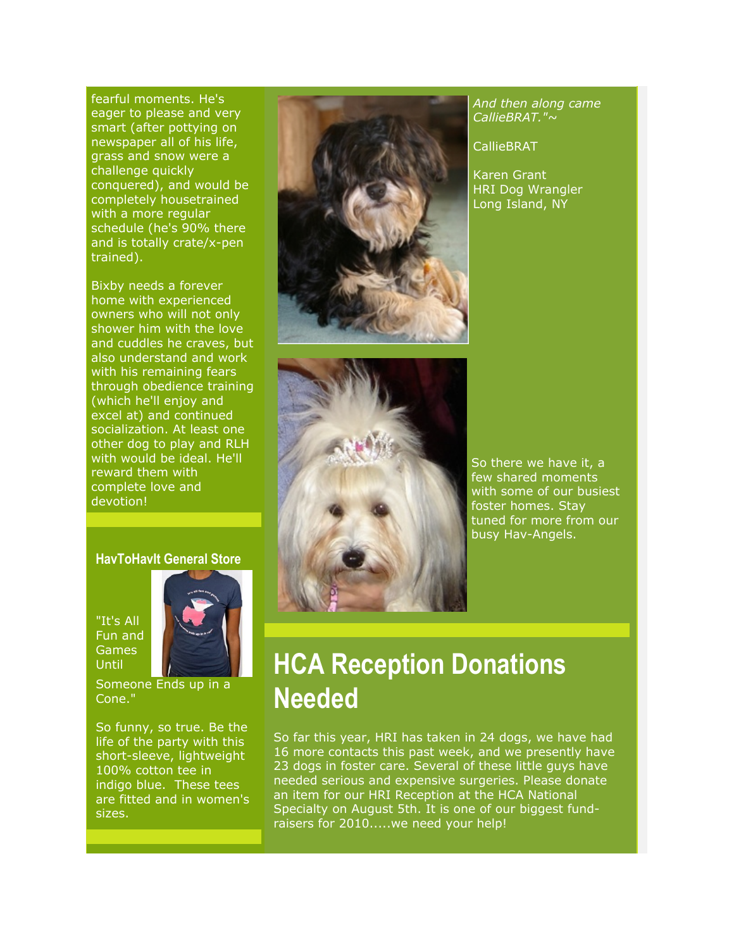fearful moments. He's eager to please and very smart (after pottying on newspaper all of his life, grass and snow were a challenge quickly conquered), and would be completely housetrained with a more regular schedule (he's 90% there and is totally crate/x-pen trained).

Bixby needs a forever home with experienced owners who will not only shower him with the love and cuddles he craves, but also understand and work with his remaining fears through obedience training (which he'll enjoy and excel at) and continued socialization. At least one other dog to play and RLH with would be ideal. He'll reward them with complete love and devotion!

### **HavToHavIt General Store**

"It's All Fun and Games **Until** 



Someone Ends up in a Cone."

So funny, so true. Be the life of the party with this short-sleeve, lightweight 100% cotton tee in indigo blue. These tees are fitted and in women's sizes.





*And then along came CallieBRAT."~*

CallieBRAT

Karen Grant HRI Dog Wrangler Long Island, NY

So there we have it, a few shared moments with some of our busiest foster homes. Stay tuned for more from our busy Hav-Angels.

# **HCA Reception Donations Needed**

So far this year, HRI has taken in 24 dogs, we have had 16 more contacts this past week, and we presently have 23 dogs in foster care. Several of these little guys have needed serious and expensive surgeries. Please donate an item for our HRI Reception at the HCA National Specialty on August 5th. It is one of our biggest fundraisers for 2010.....we need your help!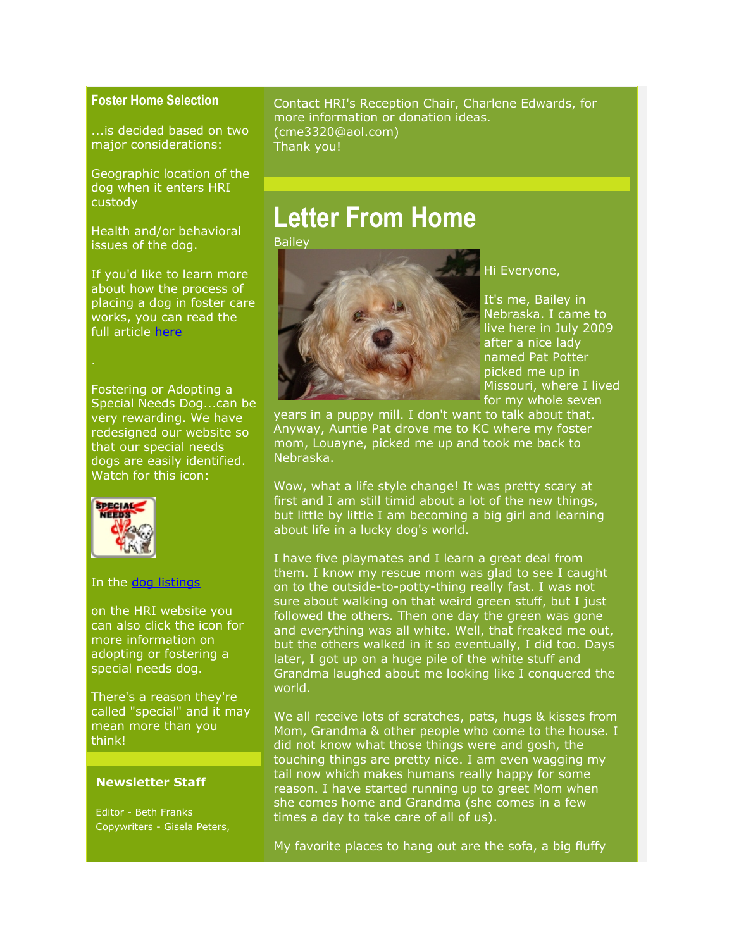### **Foster Home Selection**

...is decided based on two major considerations:

Geographic location of the dog when it enters HRI custody

Health and/or behavioral issues of the dog.

If you'd like to learn more about how the process of placing a dog in foster care works, you can read the full article [here](http://r20.rs6.net/tn.jsp?et=1103205592813&s=2126&e=001EXPsqnjapDYvNQGKrDHyhOhACUT7kTUN7soWM-YByHHSgB1wfRCqlN0og6zegiOzzMKOd3ed-pHSRtHe2V-QGTJ71zwcoC0j3OU7LX_2o6sE-dzXrZ1R9F7L4OTDdk6Jlun4ujnbz4-9fkzuP7o4kZguHP0GNCROh0Qg5DlRsxhph9DmLwKcgjLd3hCqz805mviEizH69OTG_LaXekcPngr3YKJj5aMV_2o5eyy_fTDs05QZn_xLlIZ-f4RP3lC5B5PcRlMHVZiSvMvpE5cIEg==)

Fostering or Adopting a Special Needs Dog...can be very rewarding. We have redesigned our website so that our special needs dogs are easily identified. Watch for this icon:



#### In the [dog listings](http://r20.rs6.net/tn.jsp?et=1103205592813&s=2126&e=001EXPsqnjapDYc52qwWXfiuKw8s04NHDH_kkHSShiApxXHWsfPTrz9YhS1cls3BXeTKLSmDrLqMjqN_vhIQfiNyruTrWWmeY0PP8dUWn-QGopsrQZzDt_CrXQhFhBgCxAg-H7V6fmXz8mDRFbNShkc0gPDEIIza-aTg6ygeQkg0EBdOX4tu4IEAn0vSb2Iu6K1WxbmWl0UNRxedrycVYTefj_VpvFRe7wCQM6nWusBZ_ycom-mDBxOZA==)

on the HRI website you can also click the icon for more information on adopting or fostering a special needs dog.

There's a reason they're called "special" and it may mean more than you think!

#### **Newsletter Staff**

Editor - Beth Franks Copywriters - Gisela Peters, Contact HRI's Reception Chair, Charlene Edwards, for more information or donation ideas. (cme3320@aol.com) Thank you!

## **Letter From Home**

Bailey



### Hi Everyone,

It's me, Bailey in Nebraska. I came to live here in July 2009 after a nice lady named Pat Potter picked me up in Missouri, where I lived for my whole seven

years in a puppy mill. I don't want to talk about that. Anyway, Auntie Pat drove me to KC where my foster mom, Louayne, picked me up and took me back to Nebraska.

Wow, what a life style change! It was pretty scary at first and I am still timid about a lot of the new things, but little by little I am becoming a big girl and learning about life in a lucky dog's world.

I have five playmates and I learn a great deal from them. I know my rescue mom was glad to see I caught on to the outside-to-potty-thing really fast. I was not sure about walking on that weird green stuff, but I just followed the others. Then one day the green was gone and everything was all white. Well, that freaked me out, but the others walked in it so eventually, I did too. Days later, I got up on a huge pile of the white stuff and Grandma laughed about me looking like I conquered the world.

We all receive lots of scratches, pats, hugs & kisses from Mom, Grandma & other people who come to the house. I did not know what those things were and gosh, the touching things are pretty nice. I am even wagging my tail now which makes humans really happy for some reason. I have started running up to greet Mom when she comes home and Grandma (she comes in a few times a day to take care of all of us).

My favorite places to hang out are the sofa, a big fluffy